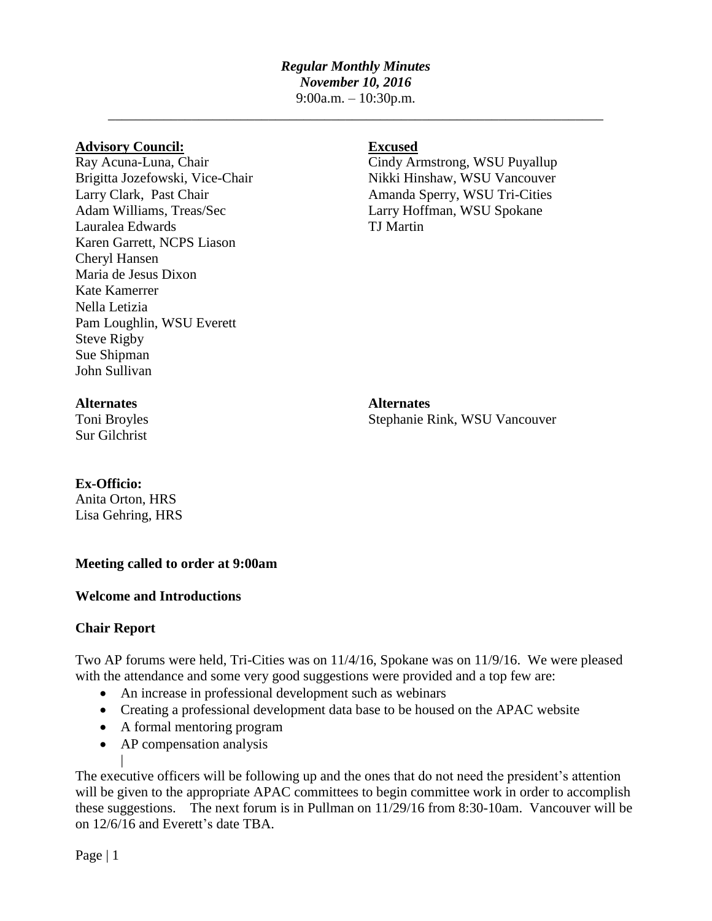## *Regular Monthly Minutes November 10, 2016*

9:00a.m. – 10:30p.m. \_\_\_\_\_\_\_\_\_\_\_\_\_\_\_\_\_\_\_\_\_\_\_\_\_\_\_\_\_\_\_\_\_\_\_\_\_\_\_\_\_\_\_\_\_\_\_\_\_\_\_\_\_\_\_\_\_\_\_\_\_\_\_\_\_\_\_\_\_\_\_

### **Advisory Council: Excused**

Adam Williams, Treas/Sec Larry Hoffman, WSU Spokane Lauralea Edwards TJ Martin Karen Garrett, NCPS Liason Cheryl Hansen Maria de Jesus Dixon Kate Kamerrer Nella Letizia Pam Loughlin, WSU Everett Steve Rigby Sue Shipman John Sullivan

Ray Acuna-Luna, Chair Cindy Armstrong, WSU Puyallup Brigitta Jozefowski, Vice-Chair Nikki Hinshaw, WSU Vancouver Larry Clark, Past Chair **Amanda Sperry, WSU Tri-Cities** 

Sur Gilchrist

**Alternates Alternates** Toni Broyles Stephanie Rink, WSU Vancouver

## **Ex-Officio:**

Anita Orton, HRS Lisa Gehring, HRS

## **Meeting called to order at 9:00am**

# **Welcome and Introductions**

# **Chair Report**

|

Two AP forums were held, Tri-Cities was on 11/4/16, Spokane was on 11/9/16. We were pleased with the attendance and some very good suggestions were provided and a top few are:

- An increase in professional development such as webinars
- Creating a professional development data base to be housed on the APAC website
- A formal mentoring program
- AP compensation analysis

The executive officers will be following up and the ones that do not need the president's attention will be given to the appropriate APAC committees to begin committee work in order to accomplish these suggestions. The next forum is in Pullman on 11/29/16 from 8:30-10am. Vancouver will be on 12/6/16 and Everett's date TBA.

Page | 1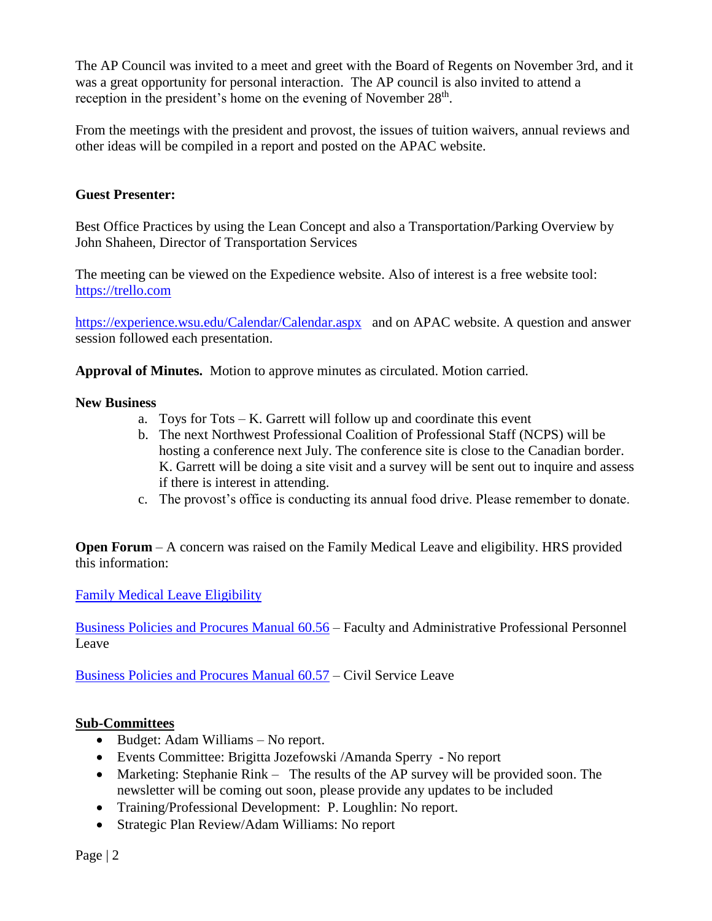The AP Council was invited to a meet and greet with the Board of Regents on November 3rd, and it was a great opportunity for personal interaction. The AP council is also invited to attend a reception in the president's home on the evening of November  $28<sup>th</sup>$ .

From the meetings with the president and provost, the issues of tuition waivers, annual reviews and other ideas will be compiled in a report and posted on the APAC website.

# **Guest Presenter:**

Best Office Practices by using the Lean Concept and also a Transportation/Parking Overview by John Shaheen, Director of Transportation Services

The meeting can be viewed on the Expedience website. Also of interest is a free website tool: [https://trello.com](https://trello.com/) 

<https://experience.wsu.edu/Calendar/Calendar.aspx>and on APAC website. A question and answer session followed each presentation.

**Approval of Minutes.** Motion to approve minutes as circulated. Motion carried.

## **New Business**

- a. Toys for Tots K. Garrett will follow up and coordinate this event
- b. The next Northwest Professional Coalition of Professional Staff (NCPS) will be hosting a conference next July. The conference site is close to the Canadian border. K. Garrett will be doing a site visit and a survey will be sent out to inquire and assess if there is interest in attending.
- c. The provost's office is conducting its annual food drive. Please remember to donate.

**Open Forum** – A concern was raised on the Family Medical Leave and eligibility. HRS provided this information:

[Family Medical Leave Eligibility](http://hrs.wsu.edu/employees/disability-services/medical-leave/#FML)

[Business Policies and Procures Manual 60.56](http://public.wsu.edu/~forms/HTML/BPPM/60_Personnel/60.56_Faculty_and_Administrative_Professional_Personnel_Leave.htm#FML) – Faculty and Administrative Professional Personnel Leave

[Business Policies and Procures Manual 60.57](http://public.wsu.edu/~forms/HTML/BPPM/60_Personnel/60.57_Civil_Service_Employee_Leave.htm) – Civil Service Leave

## **Sub-Committees**

- Budget: Adam Williams No report.
- Events Committee: Brigitta Jozefowski /Amanda Sperry No report
- Marketing: Stephanie Rink The results of the AP survey will be provided soon. The newsletter will be coming out soon, please provide any updates to be included
- Training/Professional Development: P. Loughlin: No report.
- Strategic Plan Review/Adam Williams: No report